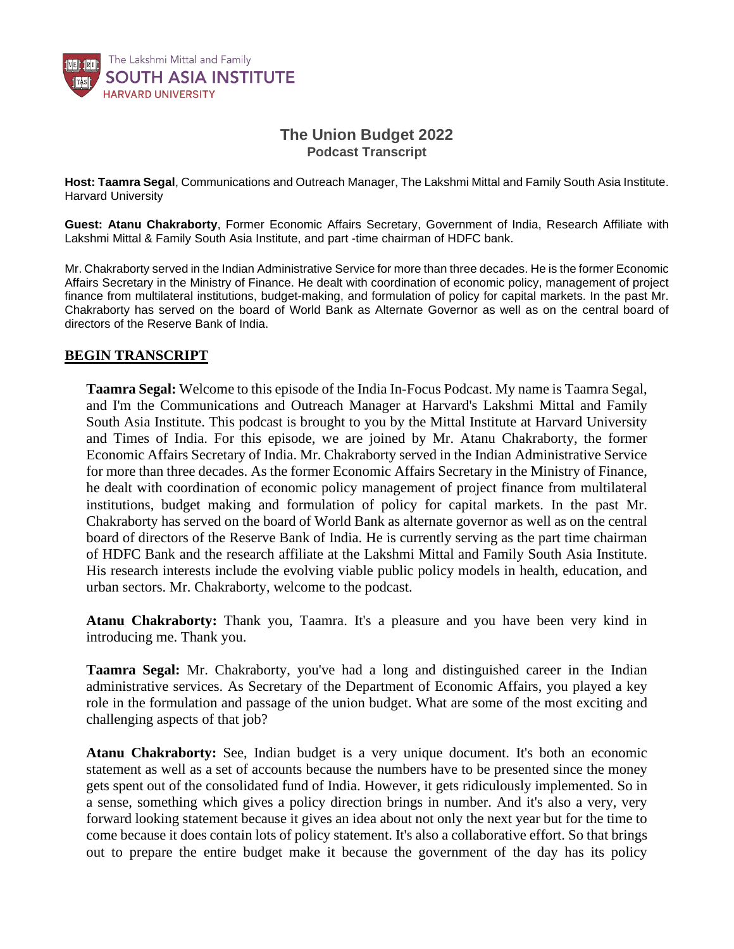

## **The Union Budget 2022** *Podcast Transcript*

**Host: Taamra Segal***, Communications and Outreach Manager, The Lakshmi Mittal and Family South Asia Institute. Harvard University*

**Guest: Atanu Chakraborty**, *Former Economic Affairs Secretary, Government of India, Research Affiliate with Lakshmi Mittal & Family South Asia Institute, and part -time chairman of HDFC bank.*

Mr. Chakraborty served in the Indian Administrative Service for more than three decades. He is the former Economic Affairs Secretary in the Ministry of Finance. He dealt with coordination of economic policy, management of project finance from multilateral institutions, budget-making, and formulation of policy for capital markets. In the past Mr. Chakraborty has served on the board of World Bank as Alternate Governor as well as on the central board of *directors of the Reserve Bank of India.*

## **BEGIN TRANSCRIPT**

**Taamra Segal:** Welcome to this episode of the India In-Focus Podcast. My name is Taamra Segal, and I'm the Communications and Outreach Manager at Harvard's Lakshmi Mittal and Family South Asia Institute. This podcast is brought to you by the Mittal Institute at Harvard University and Times of India. For this episode, we are joined by Mr. Atanu Chakraborty, the former Economic Affairs Secretary of India. Mr. Chakraborty served in the Indian Administrative Service for more than three decades. As the former Economic Affairs Secretary in the Ministry of Finance, he dealt with coordination of economic policy management of project finance from multilateral institutions, budget making and formulation of policy for capital markets. In the past Mr. Chakraborty has served on the board of World Bank as alternate governor as well as on the central board of directors of the Reserve Bank of India. He is currently serving as the part time chairman of HDFC Bank and the research affiliate at the Lakshmi Mittal and Family South Asia Institute. His research interests include the evolving viable public policy models in health, education, and urban sectors. Mr. Chakraborty, welcome to the podcast.

**Atanu Chakraborty:** Thank you, Taamra. It's a pleasure and you have been very kind in introducing me. Thank you.

**Taamra Segal:** Mr. Chakraborty, you've had a long and distinguished career in the Indian administrative services. As Secretary of the Department of Economic Affairs, you played a key role in the formulation and passage of the union budget. What are some of the most exciting and challenging aspects of that job?

**Atanu Chakraborty:** See, Indian budget is a very unique document. It's both an economic statement as well as a set of accounts because the numbers have to be presented since the money gets spent out of the consolidated fund of India. However, it gets ridiculously implemented. So in a sense, something which gives a policy direction brings in number. And it's also a very, very forward looking statement because it gives an idea about not only the next year but for the time to come because it does contain lots of policy statement. It's also a collaborative effort. So that brings out to prepare the entire budget make it because the government of the day has its policy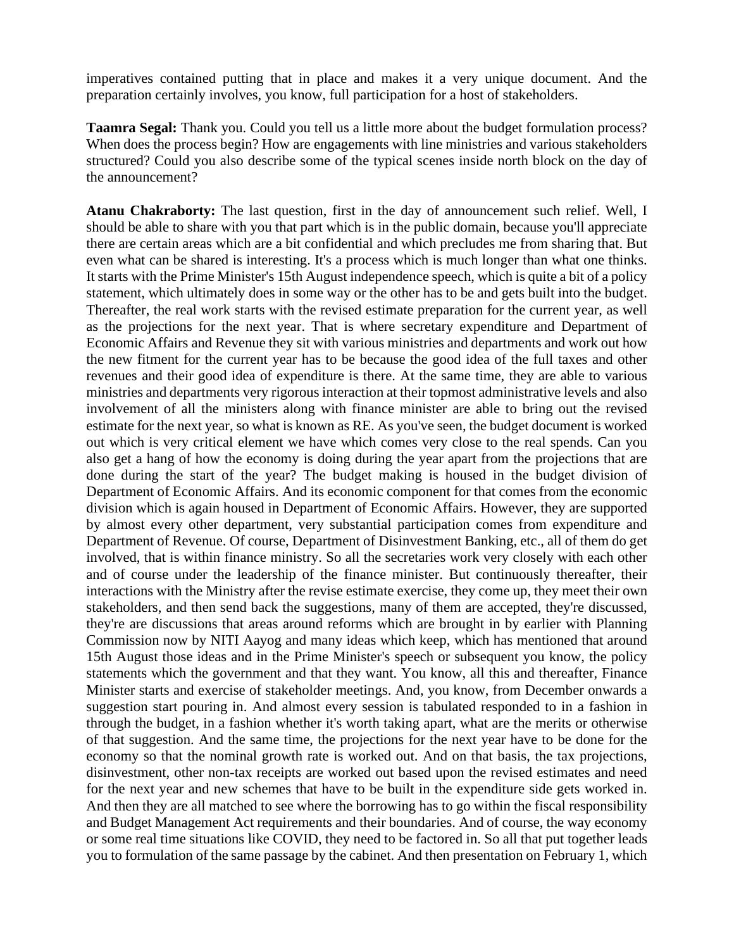imperatives contained putting that in place and makes it a very unique document. And the preparation certainly involves, you know, full participation for a host of stakeholders.

**Taamra Segal:** Thank you. Could you tell us a little more about the budget formulation process? When does the process begin? How are engagements with line ministries and various stakeholders structured? Could you also describe some of the typical scenes inside north block on the day of the announcement?

**Atanu Chakraborty:** The last question, first in the day of announcement such relief. Well, I should be able to share with you that part which is in the public domain, because you'll appreciate there are certain areas which are a bit confidential and which precludes me from sharing that. But even what can be shared is interesting. It's a process which is much longer than what one thinks. It starts with the Prime Minister's 15th August independence speech, which is quite a bit of a policy statement, which ultimately does in some way or the other has to be and gets built into the budget. Thereafter, the real work starts with the revised estimate preparation for the current year, as well as the projections for the next year. That is where secretary expenditure and Department of Economic Affairs and Revenue they sit with various ministries and departments and work out how the new fitment for the current year has to be because the good idea of the full taxes and other revenues and their good idea of expenditure is there. At the same time, they are able to various ministries and departments very rigorous interaction at their topmost administrative levels and also involvement of all the ministers along with finance minister are able to bring out the revised estimate for the next year, so what is known as RE. As you've seen, the budget document is worked out which is very critical element we have which comes very close to the real spends. Can you also get a hang of how the economy is doing during the year apart from the projections that are done during the start of the year? The budget making is housed in the budget division of Department of Economic Affairs. And its economic component for that comes from the economic division which is again housed in Department of Economic Affairs. However, they are supported by almost every other department, very substantial participation comes from expenditure and Department of Revenue. Of course, Department of Disinvestment Banking, etc., all of them do get involved, that is within finance ministry. So all the secretaries work very closely with each other and of course under the leadership of the finance minister. But continuously thereafter, their interactions with the Ministry after the revise estimate exercise, they come up, they meet their own stakeholders, and then send back the suggestions, many of them are accepted, they're discussed, they're are discussions that areas around reforms which are brought in by earlier with Planning Commission now by NITI Aayog and many ideas which keep, which has mentioned that around 15th August those ideas and in the Prime Minister's speech or subsequent you know, the policy statements which the government and that they want. You know, all this and thereafter, Finance Minister starts and exercise of stakeholder meetings. And, you know, from December onwards a suggestion start pouring in. And almost every session is tabulated responded to in a fashion in through the budget, in a fashion whether it's worth taking apart, what are the merits or otherwise of that suggestion. And the same time, the projections for the next year have to be done for the economy so that the nominal growth rate is worked out. And on that basis, the tax projections, disinvestment, other non-tax receipts are worked out based upon the revised estimates and need for the next year and new schemes that have to be built in the expenditure side gets worked in. And then they are all matched to see where the borrowing has to go within the fiscal responsibility and Budget Management Act requirements and their boundaries. And of course, the way economy or some real time situations like COVID, they need to be factored in. So all that put together leads you to formulation of the same passage by the cabinet. And then presentation on February 1, which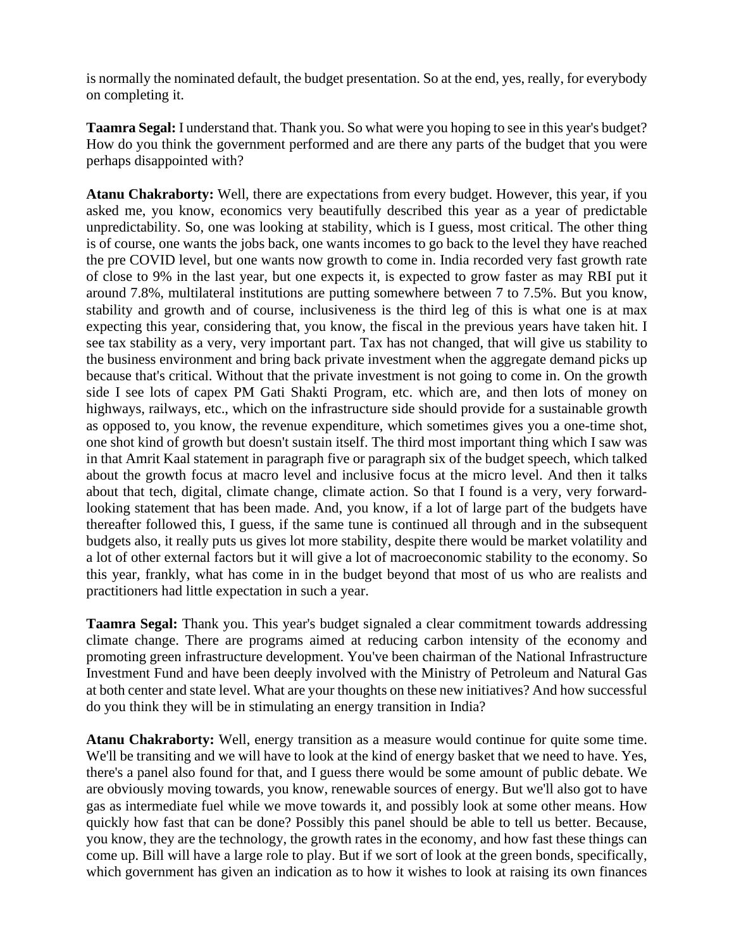is normally the nominated default, the budget presentation. So at the end, yes, really, for everybody on completing it.

**Taamra Segal:** I understand that. Thank you. So what were you hoping to see in this year's budget? How do you think the government performed and are there any parts of the budget that you were perhaps disappointed with?

**Atanu Chakraborty:** Well, there are expectations from every budget. However, this year, if you asked me, you know, economics very beautifully described this year as a year of predictable unpredictability. So, one was looking at stability, which is I guess, most critical. The other thing is of course, one wants the jobs back, one wants incomes to go back to the level they have reached the pre COVID level, but one wants now growth to come in. India recorded very fast growth rate of close to 9% in the last year, but one expects it, is expected to grow faster as may RBI put it around 7.8%, multilateral institutions are putting somewhere between 7 to 7.5%. But you know, stability and growth and of course, inclusiveness is the third leg of this is what one is at max expecting this year, considering that, you know, the fiscal in the previous years have taken hit. I see tax stability as a very, very important part. Tax has not changed, that will give us stability to the business environment and bring back private investment when the aggregate demand picks up because that's critical. Without that the private investment is not going to come in. On the growth side I see lots of capex PM Gati Shakti Program, etc. which are, and then lots of money on highways, railways, etc., which on the infrastructure side should provide for a sustainable growth as opposed to, you know, the revenue expenditure, which sometimes gives you a one-time shot, one shot kind of growth but doesn't sustain itself. The third most important thing which I saw was in that Amrit Kaal statement in paragraph five or paragraph six of the budget speech, which talked about the growth focus at macro level and inclusive focus at the micro level. And then it talks about that tech, digital, climate change, climate action. So that I found is a very, very forwardlooking statement that has been made. And, you know, if a lot of large part of the budgets have thereafter followed this, I guess, if the same tune is continued all through and in the subsequent budgets also, it really puts us gives lot more stability, despite there would be market volatility and a lot of other external factors but it will give a lot of macroeconomic stability to the economy. So this year, frankly, what has come in in the budget beyond that most of us who are realists and practitioners had little expectation in such a year.

**Taamra Segal:** Thank you. This year's budget signaled a clear commitment towards addressing climate change. There are programs aimed at reducing carbon intensity of the economy and promoting green infrastructure development. You've been chairman of the National Infrastructure Investment Fund and have been deeply involved with the Ministry of Petroleum and Natural Gas at both center and state level. What are your thoughts on these new initiatives? And how successful do you think they will be in stimulating an energy transition in India?

**Atanu Chakraborty:** Well, energy transition as a measure would continue for quite some time. We'll be transiting and we will have to look at the kind of energy basket that we need to have. Yes, there's a panel also found for that, and I guess there would be some amount of public debate. We are obviously moving towards, you know, renewable sources of energy. But we'll also got to have gas as intermediate fuel while we move towards it, and possibly look at some other means. How quickly how fast that can be done? Possibly this panel should be able to tell us better. Because, you know, they are the technology, the growth rates in the economy, and how fast these things can come up. Bill will have a large role to play. But if we sort of look at the green bonds, specifically, which government has given an indication as to how it wishes to look at raising its own finances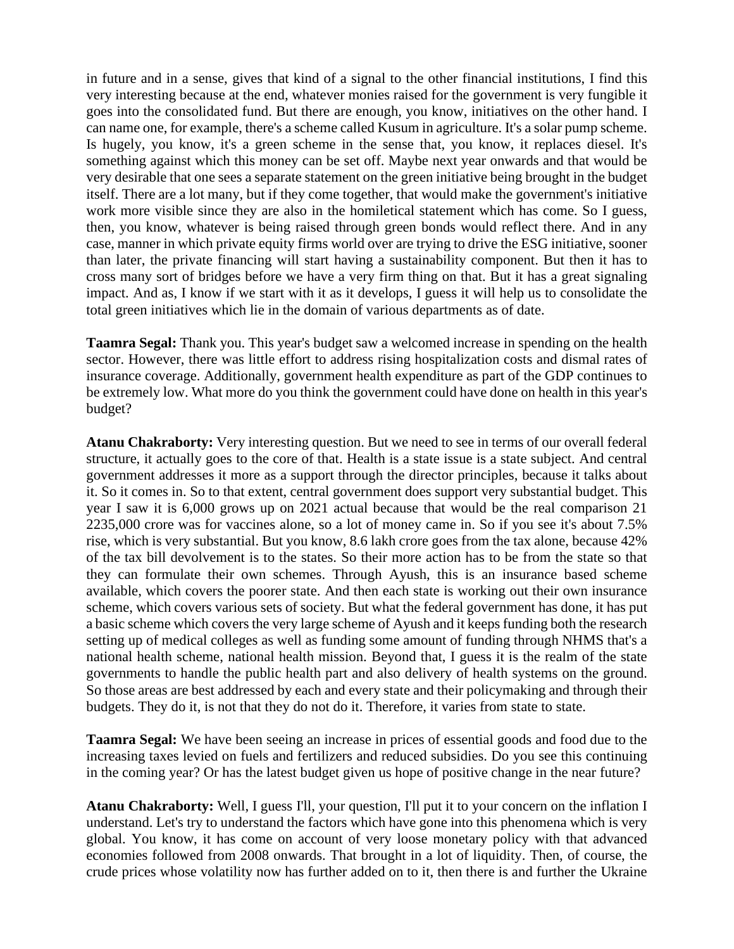in future and in a sense, gives that kind of a signal to the other financial institutions, I find this very interesting because at the end, whatever monies raised for the government is very fungible it goes into the consolidated fund. But there are enough, you know, initiatives on the other hand. I can name one, for example, there's a scheme called Kusum in agriculture. It's a solar pump scheme. Is hugely, you know, it's a green scheme in the sense that, you know, it replaces diesel. It's something against which this money can be set off. Maybe next year onwards and that would be very desirable that one sees a separate statement on the green initiative being brought in the budget itself. There are a lot many, but if they come together, that would make the government's initiative work more visible since they are also in the homiletical statement which has come. So I guess, then, you know, whatever is being raised through green bonds would reflect there. And in any case, manner in which private equity firms world over are trying to drive the ESG initiative, sooner than later, the private financing will start having a sustainability component. But then it has to cross many sort of bridges before we have a very firm thing on that. But it has a great signaling impact. And as, I know if we start with it as it develops, I guess it will help us to consolidate the total green initiatives which lie in the domain of various departments as of date.

**Taamra Segal:** Thank you. This year's budget saw a welcomed increase in spending on the health sector. However, there was little effort to address rising hospitalization costs and dismal rates of insurance coverage. Additionally, government health expenditure as part of the GDP continues to be extremely low. What more do you think the government could have done on health in this year's budget?

**Atanu Chakraborty:** Very interesting question. But we need to see in terms of our overall federal structure, it actually goes to the core of that. Health is a state issue is a state subject. And central government addresses it more as a support through the director principles, because it talks about it. So it comes in. So to that extent, central government does support very substantial budget. This year I saw it is 6,000 grows up on 2021 actual because that would be the real comparison 21 2235,000 crore was for vaccines alone, so a lot of money came in. So if you see it's about 7.5% rise, which is very substantial. But you know, 8.6 lakh crore goes from the tax alone, because 42% of the tax bill devolvement is to the states. So their more action has to be from the state so that they can formulate their own schemes. Through Ayush, this is an insurance based scheme available, which covers the poorer state. And then each state is working out their own insurance scheme, which covers various sets of society. But what the federal government has done, it has put a basic scheme which covers the very large scheme of Ayush and it keeps funding both the research setting up of medical colleges as well as funding some amount of funding through NHMS that's a national health scheme, national health mission. Beyond that, I guess it is the realm of the state governments to handle the public health part and also delivery of health systems on the ground. So those areas are best addressed by each and every state and their policymaking and through their budgets. They do it, is not that they do not do it. Therefore, it varies from state to state.

**Taamra Segal:** We have been seeing an increase in prices of essential goods and food due to the increasing taxes levied on fuels and fertilizers and reduced subsidies. Do you see this continuing in the coming year? Or has the latest budget given us hope of positive change in the near future?

**Atanu Chakraborty:** Well, I guess I'll, your question, I'll put it to your concern on the inflation I understand. Let's try to understand the factors which have gone into this phenomena which is very global. You know, it has come on account of very loose monetary policy with that advanced economies followed from 2008 onwards. That brought in a lot of liquidity. Then, of course, the crude prices whose volatility now has further added on to it, then there is and further the Ukraine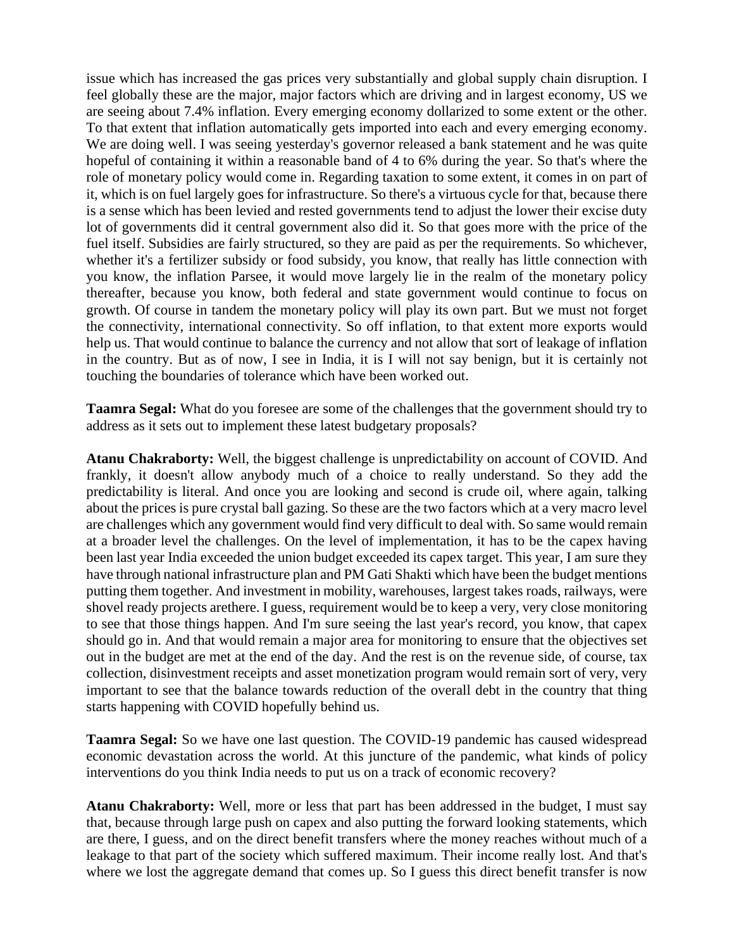issue which has increased the gas prices very substantially and global supply chain disruption. I feel globally these are the major, major factors which are driving and in largest economy, US we are seeing about 7.4% inflation. Every emerging economy dollarized to some extent or the other. To that extent that inflation automatically gets imported into each and every emerging economy. We are doing well. I was seeing yesterday's governor released a bank statement and he was quite hopeful of containing it within a reasonable band of 4 to 6% during the year. So that's where the role of monetary policy would come in. Regarding taxation to some extent, it comes in on part of it, which is on fuel largely goes for infrastructure. So there's a virtuous cycle for that, because there is a sense which has been levied and rested governments tend to adjust the lower their excise duty lot of governments did it central government also did it. So that goes more with the price of the fuel itself. Subsidies are fairly structured, so they are paid as per the requirements. So whichever, whether it's a fertilizer subsidy or food subsidy, you know, that really has little connection with you know, the inflation Parsee, it would move largely lie in the realm of the monetary policy thereafter, because you know, both federal and state government would continue to focus on growth. Of course in tandem the monetary policy will play its own part. But we must not forget the connectivity, international connectivity. So off inflation, to that extent more exports would help us. That would continue to balance the currency and not allow that sort of leakage of inflation in the country. But as of now, I see in India, it is I will not say benign, but it is certainly not touching the boundaries of tolerance which have been worked out.

**Taamra Segal:** What do you foresee are some of the challenges that the government should try to address as it sets out to implement these latest budgetary proposals?

**Atanu Chakraborty:** Well, the biggest challenge is unpredictability on account of COVID. And frankly, it doesn't allow anybody much of a choice to really understand. So they add the predictability is literal. And once you are looking and second is crude oil, where again, talking about the prices is pure crystal ball gazing. So these are the two factors which at a very macro level are challenges which any government would find very difficult to deal with. So same would remain at a broader level the challenges. On the level of implementation, it has to be the capex having been last year India exceeded the union budget exceeded its capex target. This year, I am sure they have through national infrastructure plan and PM Gati Shakti which have been the budget mentions putting them together. And investment in mobility, warehouses, largest takes roads, railways, were shovel ready projects arethere. I guess, requirement would be to keep a very, very close monitoring to see that those things happen. And I'm sure seeing the last year's record, you know, that capex should go in. And that would remain a major area for monitoring to ensure that the objectives set out in the budget are met at the end of the day. And the rest is on the revenue side, of course, tax collection, disinvestment receipts and asset monetization program would remain sort of very, very important to see that the balance towards reduction of the overall debt in the country that thing starts happening with COVID hopefully behind us.

**Taamra Segal:** So we have one last question. The COVID-19 pandemic has caused widespread economic devastation across the world. At this juncture of the pandemic, what kinds of policy interventions do you think India needs to put us on a track of economic recovery?

**Atanu Chakraborty:** Well, more or less that part has been addressed in the budget, I must say that, because through large push on capex and also putting the forward looking statements, which are there, I guess, and on the direct benefit transfers where the money reaches without much of a leakage to that part of the society which suffered maximum. Their income really lost. And that's where we lost the aggregate demand that comes up. So I guess this direct benefit transfer is now